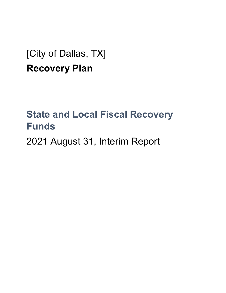# [City of Dallas, TX] **Recovery Plan**

# **State and Local Fiscal Recovery Funds**

2021 August 31, Interim Report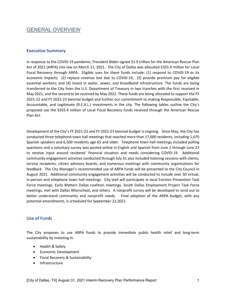# GENERAL OVERVIEW

#### **Executive Summary**

In response to the COVID-19 pandemic, President Biden signed \$1.9 trillion for the American Rescue Plan Act of 2021 (ARPA) into law on March 11, 2021. The City of Dallas was allocated \$355.4 million for Local Fiscal Recovery through ARPA. Eligible uses for these funds include: (1) respond to COVID-19 or its economic impacts; (2) replace revenue lost due to COVID-19; (3) provide premium pay for eligible essential workers; and (4) invest in water, sewer, and broadband infrastructure. The funds are being transferred to the City from the U.S. Department of Treasury in two tranches with the first received in May 2021, and the second to be received by May 2022. These funds are being allocated to support the FY 2021-22 and FY 2022-23 biennial budget and further our commitment to making Responsible, Equitable, Accountable, and Legitimate (R.E.A.L.) investments in the city. The following tables outline the City's proposed use the \$355.4 million of Local Fiscal Recovery funds received through the American Rescue Plan Act.

Development of the City's FY 2021-22 and FY 2022-23 biennial budget is ongoing. Since May, the City has conducted three telephone town hall meetings that reached more than 17,000 residents, including 1,670 Spanish speakers and 6,500 residents age 65 and older. Telephone town hall meetings included polling questions and a voluntary survey was posted online in English and Spanish from June 2 through June 23 to receive input around residents' financial situation and needs considering COVID-19. Additional community engagement activities conducted through July 31 also included listening sessions with clients, service recipients, citizen advisory boards, and numerous meetings with community organizations for feedback. The City Manager's recommended use of ARPA funds will be presented to the City Council in August 2021. Additional community engagement activities will be conducted to include over 30 virtual, in-person and telephone town hall meetings. City stall will participate in local Eviction Prevention Task Force meetings, Early Matters Dallas coalition meetings, South Dallas Employment Project Task Force meetings, met with Dallas Afterschool, and others. A nonprofit survey will be developed to send out to better understand community and nonprofit needs. Final adoption of the ARPA budget, with any potential amendments, is scheduled for September 22,2021.

#### **Use of Funds**

The City proposes to use ARPA funds to provide immediate public health relief and long-term sustainability by investing in:

- Health & Safety
- Economic Development
- Fiscal Recovery & Sustainability
- Infrastructure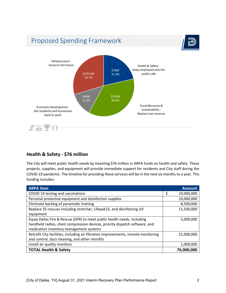

## **Health & Safety - \$76 million**

The City will meet public health needs by investing \$76 million in ARPA funds on health and safety. These projects, supplies, and equipment will provide immediate support for residents and City staff during the COVID-19 pandemic. The timeline for providing these services will be in the next six months to a year. This funding includes:

| <b>ARPA Item</b>                                                                   | <b>Amount</b>    |
|------------------------------------------------------------------------------------|------------------|
| COVID-19 testing and vaccinations                                                  | \$<br>19,000,000 |
| Personal protective equipment and disinfection supplies                            | 10,000,000       |
| Eliminate backlog of paramedic training                                            | 8,500,000        |
| Replace 35 rescues including stretcher, Lifepak15, and disinfecting UV             | 11,500,000       |
| equipment                                                                          |                  |
| Equip Dallas Fire & Rescue (DFR) to meet public health needs, including            | 5,000,000        |
| handheld radios, chest compression devices, priority dispatch software, and        |                  |
| medication inventory management systems                                            |                  |
| Retrofit City facilities, including air filtration improvements, remote monitoring | 21,000,000       |
| and control, duct cleaning, and other retrofits                                    |                  |
| Install air quality monitors                                                       | 1,000,000        |
| <b>TOTAL Health &amp; Safety</b>                                                   | 76,000,000       |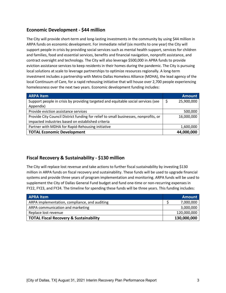## **Economic Development - \$44 million**

The City will provide short-term and long-lasting investments in the community by using \$44 million in ARPA funds on economic development. For immediate relief (six months to one year) the City will support people in crisis by providing social services such as mental health support, services for children and families, food and essential services, benefits and financial navigation, nonprofit assistance, and contract oversight and technology. The City will also leverage \$500,000 in APRA funds to provide eviction assistance services to keep residents in their homes during the pandemic. The City is pursuing local solutions at scale to leverage partnerships to optimize resources regionally. A long-term investment includes a partnership with Metro Dallas Homeless Alliance (MDHA), the lead agency of the local Continuum of Care, for a rapid rehousing initiative that will house over 2,700 people experiencing homelessness over the next two years. Economic development funding includes:

| <b>ARPA Item</b>                                                                     | <b>Amount</b>    |
|--------------------------------------------------------------------------------------|------------------|
| Support people in crisis by providing targeted and equitable social services (see    | \$<br>25,900,000 |
| Appendix)                                                                            |                  |
| Provide eviction assistance services                                                 | 500,000          |
| Provide City Council District funding for relief to small businesses, nonprofits, or | 16,000,000       |
| impacted industries based on established criteria                                    |                  |
| Partner with MDHA for Rapid-Rehousing initiative                                     | 1,600,000        |
| <b>TOTAL Economic Development</b>                                                    | 44,000,000       |

#### **Fiscal Recovery & Sustainability - \$130 million**

The City will replace lost revenue and take actions to further fiscal sustainability by investing \$130 million in ARPA funds on fiscal recovery and sustainability. These funds will be used to upgrade financial systems and provide three years of program implementation and monitoring. ARPA funds will be used to supplement the City of Dallas General Fund budget and fund one-time or non-recurring expenses in FY22, FY23, and FY24. The timeline for spending these funds will be three years. This funding includes:

| <b>APRA Item</b>                                  | <b>Amount</b> |
|---------------------------------------------------|---------------|
| ARPA implementation, compliance, and auditing     | 7,000,000     |
| ARPA communication and marketing                  | 3,000,000     |
| Replace lost revenue                              | 120,000,000   |
| <b>TOTAL Fiscal Recovery &amp; Sustainability</b> | 130,000,000   |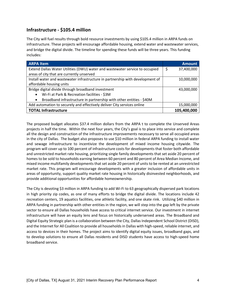## **Infrastructure - \$105.4 million**

The City will fuel results through bold resource investments by using \$105.4 million in ARPA funds on infrastructure. These projects will encourage affordable housing, extend water and wastewater services, and bridge the digital divide. The timeline for spending these funds will be three years. This funding includes:

| <b>ARPA Item</b>                                                                 | <b>Amount</b>   |
|----------------------------------------------------------------------------------|-----------------|
| Extend Dallas Water Utilities (DWU) water and wastewater service to occupied     | 37,400,000<br>Ş |
| areas of city that are currently unserved                                        |                 |
| Install water and wastewater infrastructure in partnership with development of   | 10,000,000      |
| affordable housing units                                                         |                 |
| Bridge digital divide through broadband investment                               | 43,000,000      |
| Wi-Fi at Park & Recreation facilities - \$3M<br>$\bullet$                        |                 |
| Broadband infrastructure in partnership with other entities - \$40M<br>$\bullet$ |                 |
| Add automation to securely and effectively deliver City services online          | 15,000,000      |
| <b>TOTAL Infrastructure</b>                                                      | 105,400,000     |

The proposed budget allocates \$37.4 million dollars from the ARPA t to complete the Unserved Areas projects in half the time. Within the next four years, the City's goal is to place into service and complete all the design and construction of the infrastructure improvements necessary to serve all occupied areas in the city of Dallas. The budget also proposes to use \$10 million in federal ARPA funding to install water and sewage infrastructure to incentivize the development of mixed income housing citywide. The program will cover up to 100 percent of infrastructure costs for developments that foster both affordable and unrestricted market rate housing, prioritizing single family developments that set aside 20 percent of homes to be sold to households earning between 60 percent and 80 percent of Area Median Income, and mixed income multifamily developments that set aside 20 percent of units to be rented at an unrestricted market rate. This program will encourage developments with a greater inclusion of affordable units in areas of opportunity, support quality market rate housing in historically disinvested neighborhoods, and provide additional opportunities for affordable homeownership.

The City is devoting \$3 million in ARPA funding to add Wi-Fi to 63 geographically dispersed park locations in high priority zip codes, as one of many efforts to bridge the digital divide. The locations include 42 recreation centers, 19 aquatics facilities, one athletic facility, and one skate rink. Utilizing \$40 million in ARPA funding in partnership with other entities in the region, we will step into the gap left by the private sector to ensure all Dallas households have access to critical internet service. Our investment in internet infrastructure will have an equity lens and focus on historically underserved areas. The Broadband and Digital Equity Strategic plan is a collaboration between the City, Dallas Independent School District (DISD), and the Internet for All Coalition to provide all households in Dallas with high-speed, reliable internet, and access to devices in their homes. The project aims to identify digital equity issues, broadband gaps, and to develop solutions to ensure all Dallas residents and DISD students have access to high-speed home broadband service.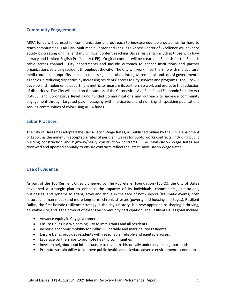#### **Community Engagement**

ARPA funds will be used for communication and outreach to increase equitable outcomes for hard to reach communities. Fair Park Multimedia Center and Language Access Center of Excellence will advance equity by creating original and multilingual content reaching Dallas residents including those with lowliteracy and Limited English Proficiency (LEP). Original content will be created in Spanish for the Spanish cable access channel. City departments and include outreach to anchor institutions and partner organizations servicing resident throughout the city. The City will work in partnership with multicultural media outlets, nonprofits, small businesses, and other intergovernmental and quasi-governmental agencies in reducing disparities by increasing residents' access to City services and programs. The City will develop and implement a department metric to measure its partnership work and evaluate the reduction of disparities. The City will build on the success of the Coronavirus Aid, Relief, and Economic Security Act (CARES) and Coronavirus Relief Fund funded communications and outreach to increase community engagement through targeted paid messaging with multicultural and non-English speaking publications serving communities of color using ARPA funds.

#### **Labor Practices**

The City of Dallas has adopted the Davis-Bacon Wage Rates, as published online by the U.S. Department of Labor, as the minimum acceptable rates of per diem wages for public works contracts, including public building construction and highway/heavy construction contracts. The Davis-Bacon Wage Rates are reviewed and updated annually to ensure contracts reflect the latest Davis-Bacon Wage Rates.

#### **Use of Evidence**

As part of the 100 Resilient Cities pioneered by The Rockefeller Foundation (100RC), the City of Dallas developed a strategic plan to enhance the capacity of its individuals, communities, institutions, businesses, and systems to adapt, grow and thrive in the face of both shocks (traumatic events, both natural and man-made) and more long-term, chronic stresses (poverty and housing shortages). Resilient Dallas, the first holistic resilience strategy in the city's history, is a new approach to shaping a thriving, equitable city, and is the product of extensive community participation. The Resilient Dallas goals include:

- Advance equity in City government
- Ensure Dallas is a Welcoming City to immigrants and all residents
- Increase economic mobility for Dallas' vulnerable and marginalized residents
- Ensure Dallas provides residents with reasonable, reliable and equitable access
- Leverage partnerships to promote healthy communities
- Invest in neighborhood infrastructure to revitalize historically underserved neighborhoods
- Promote sustainability to improve public health and alleviate adverse environmental conditions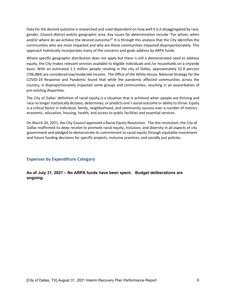Data for the desired outcome is researched and used dependent on how well it is it disaggregated by race, gender, Council district and/or geographic area. Key issues for determination include "For whom, when and/or where do we achieve the desired outcome?" It is through this analysis that the City identifies the communities who are most impacted and why are these communities impacted disproportionately. This approach holistically incorporates many of the concerns and goals address by ARPA funds.

Where specific geographic distribution does not apply but there is still a demonstrated need to address equity, the City makes relevant services available to eligible individuals and /or households on a citywide basis. With an estimated 1.3 million people residing in the city of Dallas, approximately 52.8 percent (706,884) are considered low/moderate income. The Office of the White House, National Strategy for the COVID-19 Response and Pandemic found that while the pandemic affected communities across the country, it disproportionately impacted some groups and communities, resulting in an exacerbation of pre-existing disparities.

The City of Dallas' definition of racial equity is a situation that is achieved when people are thriving and race no longer statistically dictates, determines, or predicts one's social outcome or ability to thrive. Equity is a critical factor in individual, family, neighborhood, and community success over a number of metrics economic, education, housing, health, and access to public facilities and essential services.

On March 24, 2021, the City Council approved a Racial Equity Resolution. The this resolution, the City of Dallas reaffirmed its deep resolve to promote racial equity, inclusion, and diversity in all aspects of city government and pledged to demonstrate its commitment to racial equity through equitable investment and future funding decisions for specific projects, inclusive practices, and socially just policies.

**Expenses by Expenditure Category** 

**As of July 31, 2021 – No ARPA funds have been spent. Budget deliberations are ongoing.**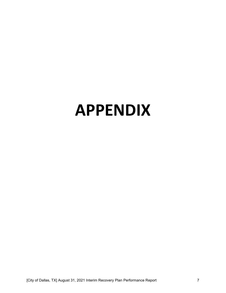# **APPENDIX**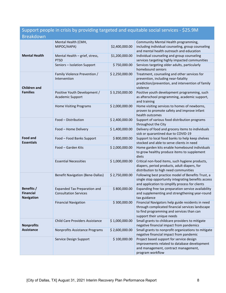# Support people in crisis by providing targeted and equitable social services - \$25.9M Breakdown

| <b>Mental Health</b>                                | Mental Health (CMH,<br>MIPOC/AAPA)                                  | \$2,400,000.00 | Community Mental Health programming,<br>including individual counseling, group counseling<br>and mental health outreach and education                                            |
|-----------------------------------------------------|---------------------------------------------------------------------|----------------|----------------------------------------------------------------------------------------------------------------------------------------------------------------------------------|
|                                                     | Mental Health - grief, stress,<br><b>PTSD</b>                       | \$1,200,000.00 | Individual counseling and group counseling<br>services targeting highly impacted communities                                                                                     |
|                                                     | Seniors - Isolation Support                                         | \$750,000.00   | Services targeting older adults, particularly<br>homebound seniors                                                                                                               |
| <b>Children and</b><br><b>Families</b>              | Family Violence Prevention /<br>Intervention                        | \$2,250,000.00 | Treatment, counseling and other services for<br>prevention, including near-fatality<br>prediction/prevention, and intervention of family<br>violence                             |
|                                                     | Positive Youth Development /<br>Academic Support                    | \$3,250,000.00 | Positive youth development programming, such<br>as afterschool programming, academic support,<br>and training                                                                    |
|                                                     | <b>Home Visiting Programs</b>                                       | \$2,000,000.00 | Home visiting services to homes of newborns,<br>proven to promote safety and improve infant<br>health outcomes                                                                   |
| <b>Food and</b><br><b>Essentials</b>                | Food - Distribution                                                 | \$2,400,000.00 | Support of various food distribution programs<br>throughout the City                                                                                                             |
|                                                     | Food - Home Delivery                                                | \$1,400,000.00 | Delivery of food and grocery items to individuals<br>sick or quarantined due to COVID-19                                                                                         |
|                                                     | Food - Food Banks Support                                           | \$800,000.00   | Support to local food banks to help keep shelves<br>stocked and able to serve clients in need                                                                                    |
|                                                     | Food - Garden Kits                                                  | \$2,000,000.00 | Home garden kits enable homebound individuals<br>to grow healthy produce items to supplement<br>diets                                                                            |
|                                                     | <b>Essential Necessities</b>                                        | \$1,000,000.00 | Critical non-food items, such hygiene products,<br>diapers, period products, adult diapers, for<br>distribution to high need communities                                         |
| Benefits /<br><b>Financial</b><br><b>Navigation</b> | <b>Benefit Navigation (Bene-Dallas)</b>                             | \$2,750,000.00 | Following best practice model of Benefits Trust, a<br>single stop opportunity integrating benefits access<br>and application to simplify process for clients                     |
|                                                     | <b>Expanded Tax Preparation and</b><br><b>Consultation Services</b> | \$800,000.00   | Expanding free tax preparation service availability<br>and supplementing and strengthening year-round<br>tax guidance                                                            |
|                                                     | <b>Financial Navigation</b>                                         | \$300,000.00   | Financial Navigators help guide residents in need<br>through complicated financial services landscape<br>to find programming and services than can<br>support their unique needs |
| <b>Nonprofits</b><br><b>Assistance</b>              | <b>Child Care Providers Assistance</b>                              | \$1,000,000.00 | Small grants to childcare providers to mitigate<br>negative financial impact from pandemics                                                                                      |
|                                                     | Nonprofits Assistance Programs                                      | \$2,600,000.00 | Small grants to nonprofit organizations to mitigate<br>negative financial impact from pandemic                                                                                   |
|                                                     | Service Design Support                                              | \$100,000.00   | Project based support for service design<br>improvements related to database development<br>and management, contract management,<br>program workflow                             |